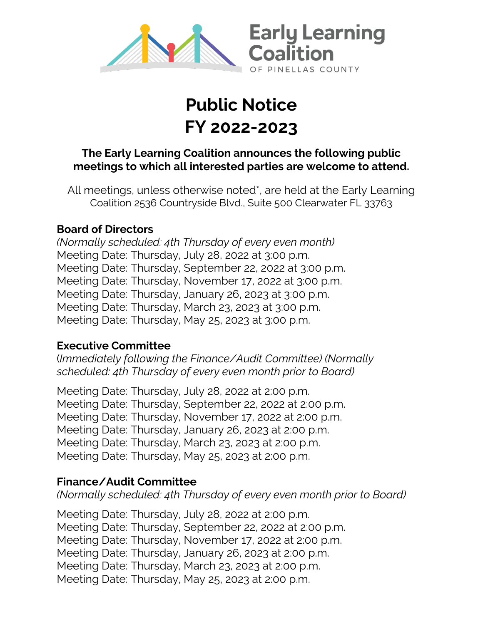

# **Public Notice FY 2022-2023**

#### **The Early Learning Coalition announces the following public meetings to which all interested parties are welcome to attend.**

All meetings, unless otherwise noted\*, are held at the Early Learning Coalition 2536 Countryside Blvd., Suite 500 Clearwater FL 33763

#### **Board of Directors**

*(Normally scheduled: 4th Thursday of every even month)* Meeting Date: Thursday, July 28, 2022 at 3:00 p.m. Meeting Date: Thursday, September 22, 2022 at 3:00 p.m. Meeting Date: Thursday, November 17, 2022 at 3:00 p.m. Meeting Date: Thursday, January 26, 2023 at 3:00 p.m. Meeting Date: Thursday, March 23, 2023 at 3:00 p.m. Meeting Date: Thursday, May 25, 2023 at 3:00 p.m.

#### **Executive Committee**

(*Immediately following the Finance/Audit Committee) (Normally scheduled: 4th Thursday of every even month prior to Board)* 

Meeting Date: Thursday, July 28, 2022 at 2:00 p.m. Meeting Date: Thursday, September 22, 2022 at 2:00 p.m. Meeting Date: Thursday, November 17, 2022 at 2:00 p.m. Meeting Date: Thursday, January 26, 2023 at 2:00 p.m. Meeting Date: Thursday, March 23, 2023 at 2:00 p.m. Meeting Date: Thursday, May 25, 2023 at 2:00 p.m.

## **Finance/Audit Committee**

*(Normally scheduled: 4th Thursday of every even month prior to Board)* 

Meeting Date: Thursday, July 28, 2022 at 2:00 p.m. Meeting Date: Thursday, September 22, 2022 at 2:00 p.m. Meeting Date: Thursday, November 17, 2022 at 2:00 p.m. Meeting Date: Thursday, January 26, 2023 at 2:00 p.m. Meeting Date: Thursday, March 23, 2023 at 2:00 p.m. Meeting Date: Thursday, May 25, 2023 at 2:00 p.m.